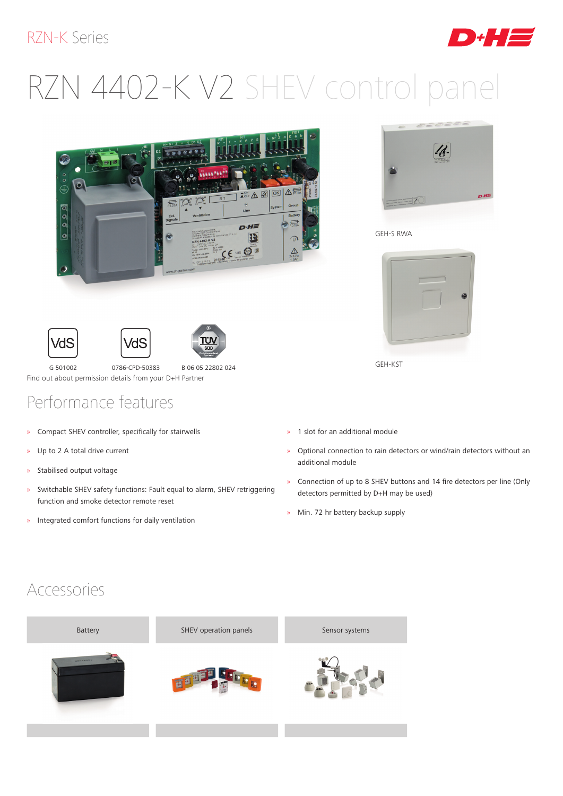#### RZN-K Series

# RZN 4402-K V2 SHEV control panel







ח"ת

G 501002 0786-CPD-50383 B 06 05 22802 024 Find out about permission details from your D+H Partner

## Performance features

- » Compact SHEV controller, specifically for stairwells
- » Up to 2 A total drive current
- » Stabilised output voltage
- » Switchable SHEV safety functions: Fault equal to alarm, SHEV retriggering function and smoke detector remote reset
- » Integrated comfort functions for daily ventilation



GEH-S RWA



GEH-KST

- » 1 slot for an additional module
- » Optional connection to rain detectors or wind/rain detectors without an additional module
- » Connection of up to 8 SHEV buttons and 14 fire detectors per line (Only detectors permitted by D+H may be used)
- » Min. 72 hr battery backup supply

#### Accessories